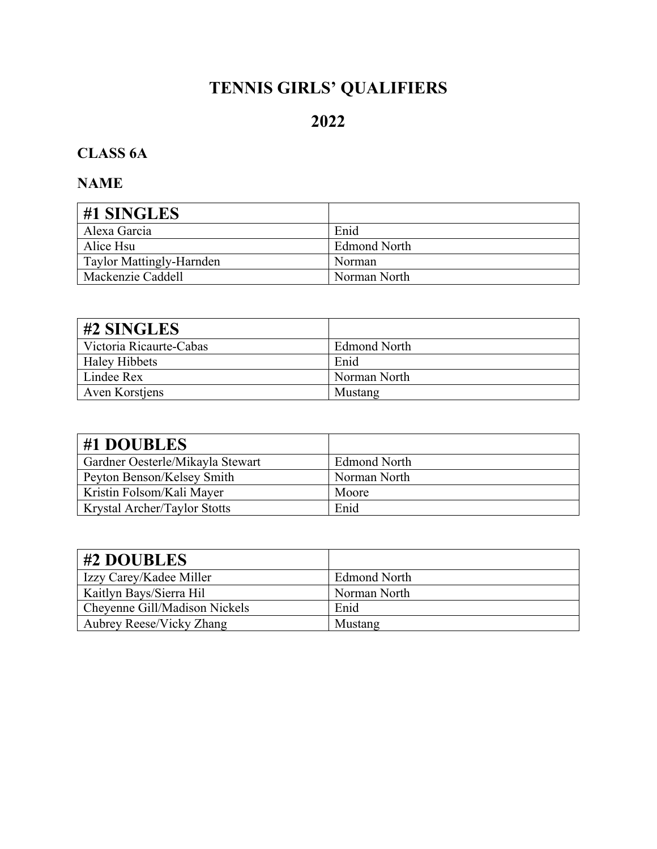# **TENNIS GIRLS' QUALIFIERS**

# **2022**

# **CLASS 6A**

| #1 SINGLES               |                     |
|--------------------------|---------------------|
| Alexa Garcia             | Enid                |
| Alice Hsu                | <b>Edmond North</b> |
| Taylor Mattingly-Harnden | <b>Norman</b>       |
| Mackenzie Caddell        | Norman North        |

| $\#2$ SINGLES           |                     |
|-------------------------|---------------------|
| Victoria Ricaurte-Cabas | <b>Edmond North</b> |
| <b>Haley Hibbets</b>    | Enid                |
| Lindee Rex              | Norman North        |
| <b>Aven Korstiens</b>   | Mustang             |

| #1 DOUBLES                          |                     |
|-------------------------------------|---------------------|
| Gardner Oesterle/Mikayla Stewart    | <b>Edmond North</b> |
| Peyton Benson/Kelsey Smith          | Norman North        |
| Kristin Folsom/Kali Mayer           | Moore               |
| <b>Krystal Archer/Taylor Stotts</b> | Enid                |

| #2 DOUBLES                      |                     |
|---------------------------------|---------------------|
| Izzy Carey/Kadee Miller         | <b>Edmond North</b> |
| Kaitlyn Bays/Sierra Hil         | Norman North        |
| Cheyenne Gill/Madison Nickels   | Enid                |
| <b>Aubrey Reese/Vicky Zhang</b> | Mustang             |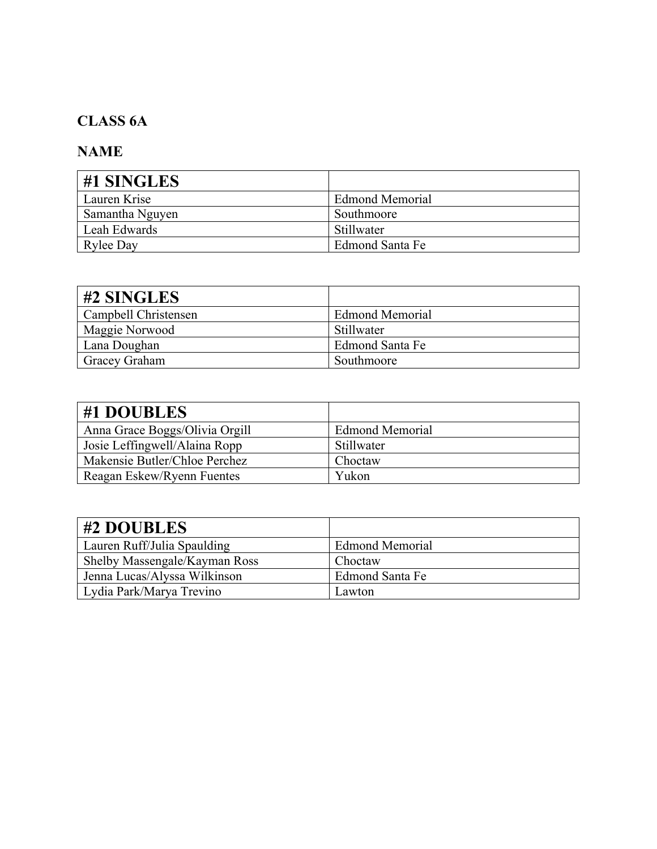## **CLASS 6A**

| #1 SINGLES       |                        |
|------------------|------------------------|
| Lauren Krise     | <b>Edmond Memorial</b> |
| Samantha Nguyen  | Southmoore             |
| Leah Edwards     | Stillwater             |
| <b>Rylee Day</b> | Edmond Santa Fe        |

| $\#2$ SINGLES        |                        |
|----------------------|------------------------|
| Campbell Christensen | <b>Edmond Memorial</b> |
| Maggie Norwood       | Stillwater             |
| Lana Doughan         | Edmond Santa Fe        |
| <b>Gracey Graham</b> | Southmoore             |

| #1 DOUBLES                     |                        |
|--------------------------------|------------------------|
| Anna Grace Boggs/Olivia Orgill | <b>Edmond Memorial</b> |
| Josie Leffingwell/Alaina Ropp  | Stillwater             |
| Makensie Butler/Chloe Perchez  | Choctaw                |
| Reagan Eskew/Ryenn Fuentes     | Yukon                  |

| #2 DOUBLES                    |                        |
|-------------------------------|------------------------|
| Lauren Ruff/Julia Spaulding   | <b>Edmond Memorial</b> |
| Shelby Massengale/Kayman Ross | Choctaw                |
| Jenna Lucas/Alyssa Wilkinson  | Edmond Santa Fe        |
| Lydia Park/Marya Trevino      | Lawton                 |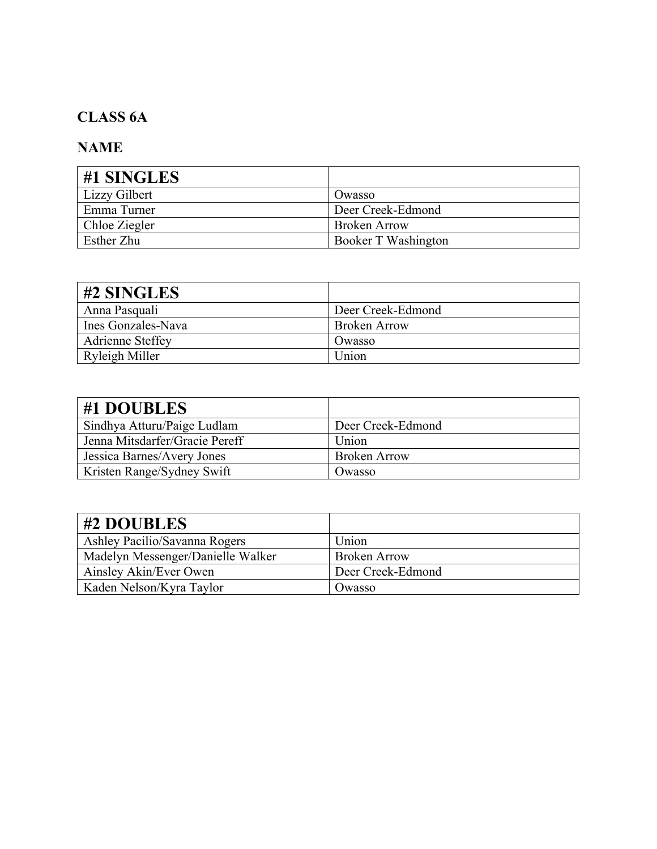## **CLASS 6A**

| #1 SINGLES    |                     |
|---------------|---------------------|
| Lizzy Gilbert | Owasso              |
| Emma Turner   | Deer Creek-Edmond   |
| Chloe Ziegler | <b>Broken Arrow</b> |
| Esther Zhu    | Booker T Washington |

| #2 SINGLES         |                   |
|--------------------|-------------------|
| Anna Pasquali      | Deer Creek-Edmond |
| Ines Gonzales-Nava | Broken Arrow      |
| Adrienne Steffey   | Owasso            |
| Ryleigh Miller     | Union             |

| #1 DOUBLES                     |                     |
|--------------------------------|---------------------|
| Sindhya Atturu/Paige Ludlam    | Deer Creek-Edmond   |
| Jenna Mitsdarfer/Gracie Pereff | Union               |
| Jessica Barnes/Avery Jones     | <b>Broken Arrow</b> |
| Kristen Range/Sydney Swift     | Owasso              |

| #2 DOUBLES                        |                     |
|-----------------------------------|---------------------|
| Ashley Pacilio/Savanna Rogers     | Union               |
| Madelyn Messenger/Danielle Walker | <b>Broken Arrow</b> |
| Ainsley Akin/Ever Owen            | Deer Creek-Edmond   |
| Kaden Nelson/Kyra Taylor          | Owasso              |